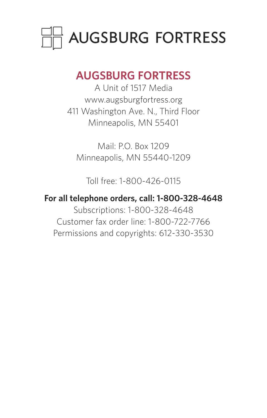

## **AUGSBURG FORTRESS**

A Unit of 1517 Media www.augsburgfortress.org 411 Washington Ave. N., Third Floor Minneapolis, MN 55401

Mail: P.O. Box 1209 Minneapolis, MN 55440-1209

Toll free: 1-800-426-0115

**For all telephone orders, call: 1-800-328-4648** Subscriptions: 1-800-328-4648 Customer fax order line: 1-800-722-7766 Permissions and copyrights: 612-330-3530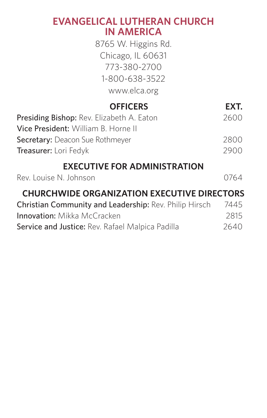### **EVANGELICAL LUTHERAN CHURCH IN AMERICA**

8765 W. Higgins Rd. Chicago, IL 60631 773-380-2700 1-800-638-3522 www.elca.org

### **OFFICERS EXT.**

| Presiding Bishop: Rev. Elizabeth A. Eaton | 2600 |
|-------------------------------------------|------|
| Vice President: William B. Horne II       |      |
| Secretary: Deacon Sue Rothmever           | 2800 |
| Treasurer: Lori Fedyk                     | 2900 |

#### **EXECUTIVE FOR ADMINISTRATION**

| Rev. Louise N. Johnson |  | 0764 |
|------------------------|--|------|
|                        |  |      |

### **CHURCHWIDE ORGANIZATION EXECUTIVE DIRECTORS**

| Christian Community and Leadership: Rev. Philip Hirsch | 7445 |
|--------------------------------------------------------|------|
| <b>Innovation:</b> Mikka McCracken                     | 2815 |
| Service and Justice: Rev. Rafael Malpica Padilla       | 2640 |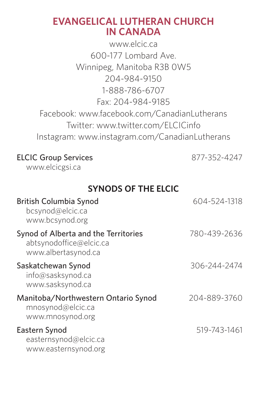#### **EVANGELICAL LUTHERAN CHURCH IN CANADA**

www.elcic.ca 600-177 Lombard Ave. Winnipeg, Manitoba R3B 0W5 204-984-9150 1-888-786-6707 Fax: 204-984-9185 Facebook: www.facebook.com/CanadianLutherans Twitter: www.twitter.com/ELCICinfo Instagram: www.instagram.com/CanadianLutherans

#### ELCIC Group Services 877-352-4247

www.elcicgsi.ca

#### **SYNODS OF THE ELCIC**

| British Columbia Synod<br>bcsynod@elcic.ca<br>www.bcsvnod.org                          | 604-524-1318 |
|----------------------------------------------------------------------------------------|--------------|
| Synod of Alberta and the Territories<br>abtsynodoffice@elcic.ca<br>www.albertasynod.ca | 780-439-2636 |
| Saskatchewan Synod<br>info@sasksynod.ca<br>www.sasksynod.ca                            | 306-244-2474 |
| Manitoba/Northwestern Ontario Synod<br>mnosynod@elcic.ca<br>www.mnosynod.org           | 204-889-3760 |
| Eastern Synod<br>easternsynod@elcic.ca<br>www.easternsynod.org                         | 519-743-1461 |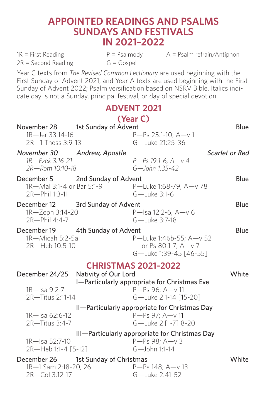#### **APPOINTED READINGS AND PSALMS SUNDAYS AND FESTIVALS IN 2021–2022**

 $2R = Second Reading$   $G = Gospel$ 

 $1R =$  First Reading  $P =$  Psalmody  $A =$  Psalm refrain/Antiphon

Year C texts from *The Revised Common Lectionary* are used beginning with the First Sunday of Advent 2021, and Year A texts are used beginning with the First Sunday of Advent 2022; Psalm versification based on NSRV Bible. Italics indicate day is not a Sunday, principal festival, or day of special devotion.

#### **ADVENT 2021**

|                                     |                           | (Year C)                                       |                |
|-------------------------------------|---------------------------|------------------------------------------------|----------------|
| November 28                         | 1st Sunday of Advent      |                                                | Blue           |
| 1R-Jer 33:14-16                     |                           | P-Ps 25:1-10: A-v 1                            |                |
| 2R-1 Thess 3:9-13                   |                           | G-Luke 21:25-36                                |                |
| November 30                         | Andrew, Apostle           |                                                | Scarlet or Red |
| 1R-Fzek 3:16-21                     |                           | $P-Ps$ 19:1-6: $A - v$ 4                       |                |
| 2R-Rom 10:10-18                     |                           | $G -$ John 1:35-42                             |                |
| December 5                          | 2nd Sunday of Advent      |                                                | Blue           |
|                                     | 1R-Mal 3:1-4 or Bar 5:1-9 | P-Luke 1:68-79; A-v 78                         |                |
| 2R-Phil 1:3-11                      |                           | G-Luke 3:1-6                                   |                |
| December 12                         | 3rd Sunday of Advent      |                                                | Blue           |
| 1R-Zeph 3:14-20                     |                           | P-Isa 12:2-6: A-v 6                            |                |
| 2R-Phil 4:4-7                       |                           | G-Luke 3:7-18                                  |                |
| December 19 4th Sunday of Advent    |                           |                                                | Blue           |
| 1R-Micah 5:2-5a                     |                           | P-Luke 1:46b-55: A-v 52                        |                |
| 2R-Heb 10:5-10                      |                           | or Ps 80:1-7: A-v 7                            |                |
|                                     |                           | G-Luke 1:39-45 [46-55]                         |                |
|                                     |                           | <b>CHRISTMAS 2021-2022</b>                     |                |
| December 24/25                      | Nativity of Our Lord      |                                                | White          |
|                                     |                           | I-Particularly appropriate for Christmas Eve   |                |
| 1R-Isa 9:2-7                        |                           | P-Ps 96: A-y 11                                |                |
| 2R-Titus 2:11-14                    |                           | G-Luke 2:1-14 [15-20]                          |                |
|                                     |                           | II-Particularly appropriate for Christmas Day  |                |
| 1R-Isa 62:6-12                      |                           | P-Ps 97; A-v 11                                |                |
| 2R-Titus 3:4-7                      |                           | G-Luke 2:[1-71 8-20                            |                |
|                                     |                           | III-Particularly appropriate for Christmas Day |                |
| 1R-Isa 52:7-10                      |                           | $P-Ps$ 98: $A-v$ 3                             |                |
| 2R-Heb 1:1-4 [5-12]                 |                           | G-John 1:1-14                                  |                |
| December 26 1st Sunday of Christmas |                           |                                                | White          |
| 1R-1 Sam 2:18-20, 26                |                           | $P-Ps$ 148: $A-v$ 13                           |                |
| 2R-Col 3:12-17                      |                           | G-Luke 2:41-52                                 |                |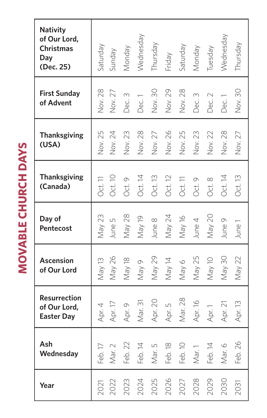| Nativity<br>of Our Lord,<br>Christmas<br>Day<br>(Dec. 25) | Saturday       | Sunday     | Monday           | Wednesday | Thursday         | Friday  | Saturday | Monday    | Tuesday        | Wednesday | Thursday |
|-----------------------------------------------------------|----------------|------------|------------------|-----------|------------------|---------|----------|-----------|----------------|-----------|----------|
| <b>First Sunday</b><br>of Advent                          | Nov. 28        | 27<br>Nov. | $\infty$<br>Dec. | Dec.      | $\sqrt{ov}$ . 30 | Nov. 29 | Nov. 28  | m<br>Dec. | $\sim$<br>Dec. | .<br>Dec  | Nov. 30  |
| <b>Thanksgiving</b><br>(USA)                              | <b>Vov. 25</b> | Nov. 24    | Nov. 23          | Nov. 28   | Nov. 27          | Nov. 26 | Nov. 25  | Nov. 23   | Nov. 22        | Nov. 28   | Nov. 27  |
| <b>Thanksgiving</b><br>(Canada)                           | Oct. 11        | Oct. 10    | Oct. 9           | Oct. 14   | Oct. 13          | Oct. 12 | Oct. 11  | Oct. 9    | Oct. 8         | Oct. 14   | Oct. 13  |
| Day of<br>Pentecost                                       | May 23         | June 5     | May 28           | May 19    | June 8           | May 24  | May 16   | June 4    | May 20         | June 9    | June1    |
| Ascension<br>of Our Lord                                  | May 13         | May 26     | May 18           | Ō<br>Nay: | May 29           | May 14  | May 6    | May 25    | May 10         | May 30    | May 22   |
| <b>Resurrection</b><br>of Our Lord.<br><b>Easter Day</b>  | Apr. 4         | Apr. 17    | Apr. 9           | Mar. 31   | Apr. 20          | Apr. 5  | Mar. 28  | Apr. 16   | Apr. 1         | Apr. 21   | Apr. 13  |
| Ash<br>Wednesday                                          | Feb. 17        | Mar. 2     | Feb. 22          | Feb. 14   | Mar. 5           | Feb. 18 | Feb. 10  | Mar. 1    | Feb. 14        | Mar. 6    | Feb. 26  |
| Year                                                      | 2021           | 2022       | 2023             | 2024      | 2025             | 2026    | 2027     | 2028      | 2029           | 2030      | 2031     |

**MOVABLE CHURCH DAYS MOVABLE CHURCH DAYS**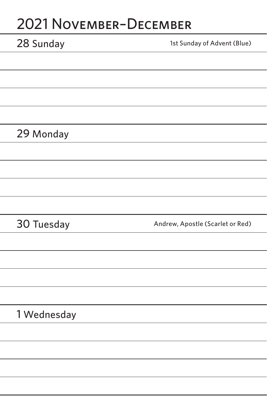# 2021 November–December

| 28 Sunday   | 1st Sunday of Advent (Blue)      |
|-------------|----------------------------------|
|             |                                  |
|             |                                  |
|             |                                  |
|             |                                  |
| 29 Monday   |                                  |
|             |                                  |
|             |                                  |
|             |                                  |
|             |                                  |
|             |                                  |
| 30 Tuesday  | Andrew, Apostle (Scarlet or Red) |
|             |                                  |
|             |                                  |
|             |                                  |
|             |                                  |
| 1 Wednesday |                                  |
|             |                                  |
|             |                                  |
|             |                                  |
|             |                                  |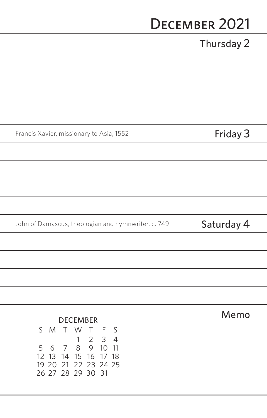# December 2021

|                                                                                                                  | Thursday 2 |
|------------------------------------------------------------------------------------------------------------------|------------|
|                                                                                                                  |            |
|                                                                                                                  |            |
|                                                                                                                  |            |
|                                                                                                                  |            |
| Francis Xavier, missionary to Asia, 1552                                                                         | Friday 3   |
|                                                                                                                  |            |
|                                                                                                                  |            |
|                                                                                                                  |            |
|                                                                                                                  |            |
|                                                                                                                  |            |
| John of Damascus, theologian and hymnwriter, c. 749                                                              | Saturday 4 |
|                                                                                                                  |            |
|                                                                                                                  |            |
|                                                                                                                  |            |
|                                                                                                                  |            |
| <b>DECEMBER</b>                                                                                                  | Memo       |
| S<br>W<br>M<br>Τ<br>$\top$<br>F<br>S                                                                             |            |
| $\overline{2}$<br>3<br>$\overline{4}$<br>1<br>9<br>5<br>8<br>10<br>11<br>6<br>7<br>12 13<br>15<br>16<br>14<br>17 |            |
| 18<br>19 20<br>21<br>22 23 24 25<br>26 27 28 29 30 31                                                            |            |

ł i, í

ł

f

í

 $\overline{a}$  $\overline{a}$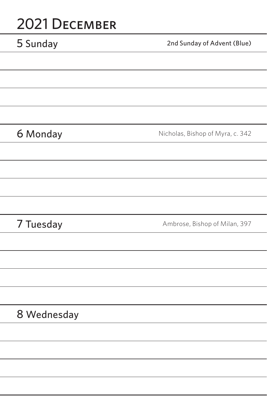## 2021 December

| 5 Sunday    | 2nd Sunday of Advent (Blue)      |
|-------------|----------------------------------|
|             |                                  |
|             |                                  |
|             |                                  |
|             |                                  |
| 6 Monday    | Nicholas, Bishop of Myra, c. 342 |
|             |                                  |
|             |                                  |
|             |                                  |
|             |                                  |
| 7 Tuesday   | Ambrose, Bishop of Milan, 397    |
|             |                                  |
|             |                                  |
|             |                                  |
|             |                                  |
| 8 Wednesday |                                  |
|             |                                  |
|             |                                  |
|             |                                  |
|             |                                  |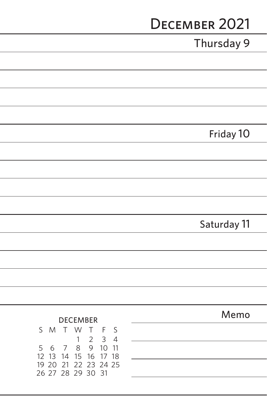|                                                                               | DECEMBER 2021 |
|-------------------------------------------------------------------------------|---------------|
|                                                                               | Thursday 9    |
|                                                                               |               |
|                                                                               |               |
|                                                                               |               |
|                                                                               |               |
|                                                                               | Friday 10     |
|                                                                               |               |
|                                                                               |               |
|                                                                               |               |
|                                                                               |               |
|                                                                               | Saturday 11   |
|                                                                               |               |
|                                                                               |               |
|                                                                               |               |
|                                                                               |               |
| <b>DECEMBER</b>                                                               | Memo          |
| S<br>M<br>W<br>Τ<br>Τ<br>F<br>S<br>3<br>$\overline{c}$<br>$\overline{4}$<br>1 |               |
| 9<br>10<br>5<br>8<br>11<br>6<br>7<br>12<br>13<br>14<br>15<br>16<br>18<br>17   |               |
| 19 20<br>21<br>22 23<br>24 25<br>26 27 28 29 30 31                            |               |

L, ÷ L, ÷ i. f i, ÷ i, L, j. j. ÷ Ĩ. j. L